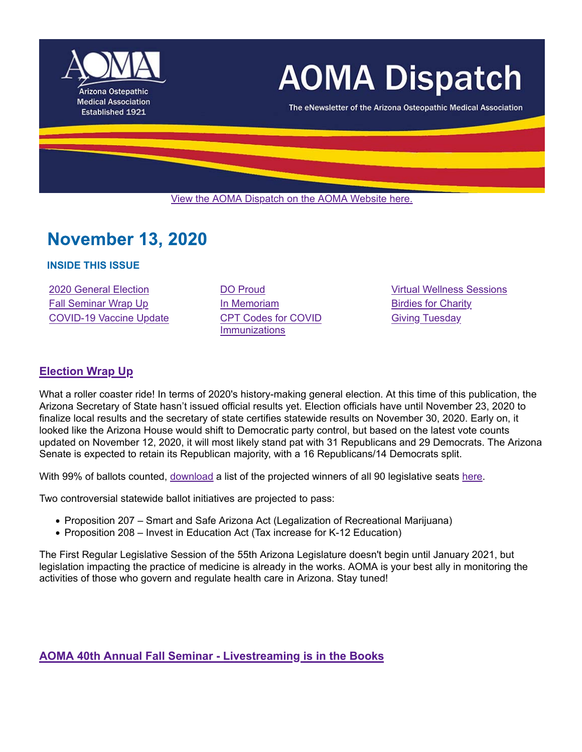

# **AOMA Dispatch**

The eNewsletter of the Arizona Osteopathic Medical Association

View the AOMA Dispatch on the AOMA Website here.

# **November 13, 2020**

# **INSIDE THIS ISSUE**

2020 General Election DO Proud Virtual Wellness Sessions Fall Seminar Wrap Up **In Memoriam** Birdies for Charity COVID-19 Vaccine Update CPT Codes for COVID

**Immunizations** 

Giving Tuesday

# **Election Wrap Up**

What a roller coaster ride! In terms of 2020's history-making general election. At this time of this publication, the Arizona Secretary of State hasn't issued official results yet. Election officials have until November 23, 2020 to finalize local results and the secretary of state certifies statewide results on November 30, 2020. Early on, it looked like the Arizona House would shift to Democratic party control, but based on the latest vote counts updated on November 12, 2020, it will most likely stand pat with 31 Republicans and 29 Democrats. The Arizona Senate is expected to retain its Republican majority, with a 16 Republicans/14 Democrats split.

With 99% of ballots counted, download a list of the projected winners of all 90 legislative seats here.

Two controversial statewide ballot initiatives are projected to pass:

- Proposition 207 Smart and Safe Arizona Act (Legalization of Recreational Marijuana)
- Proposition 208 Invest in Education Act (Tax increase for K-12 Education)

The First Regular Legislative Session of the 55th Arizona Legislature doesn't begin until January 2021, but legislation impacting the practice of medicine is already in the works. AOMA is your best ally in monitoring the activities of those who govern and regulate health care in Arizona. Stay tuned!

**AOMA 40th Annual Fall Seminar - Livestreaming is in the Books**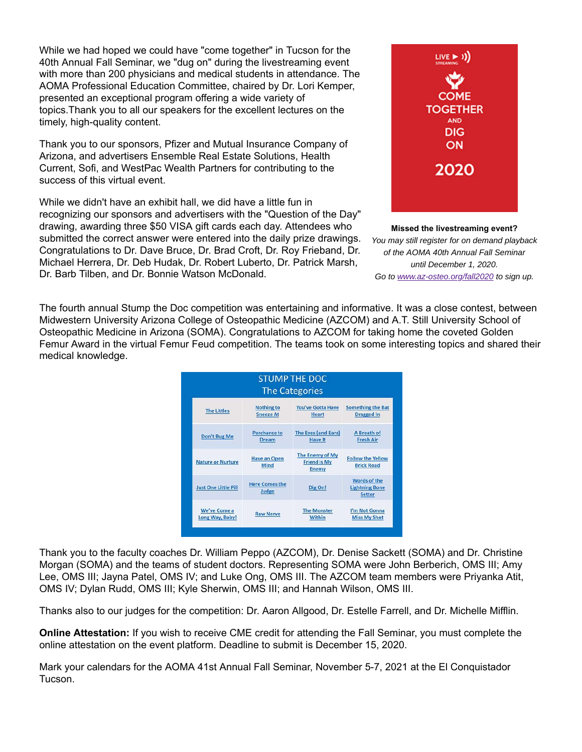While we had hoped we could have "come together" in Tucson for the 40th Annual Fall Seminar, we "dug on" during the livestreaming event with more than 200 physicians and medical students in attendance. The AOMA Professional Education Committee, chaired by Dr. Lori Kemper, presented an exceptional program offering a wide variety of topics.Thank you to all our speakers for the excellent lectures on the timely, high-quality content.

Thank you to our sponsors, Pfizer and Mutual Insurance Company of Arizona, and advertisers Ensemble Real Estate Solutions, Health Current, Sofi, and WestPac Wealth Partners for contributing to the success of this virtual event.

While we didn't have an exhibit hall, we did have a little fun in recognizing our sponsors and advertisers with the "Question of the Day" drawing, awarding three \$50 VISA gift cards each day. Attendees who submitted the correct answer were entered into the daily prize drawings. Congratulations to Dr. Dave Bruce, Dr. Brad Croft, Dr. Roy Frieband, Dr. Michael Herrera, Dr. Deb Hudak, Dr. Robert Luberto, Dr. Patrick Marsh, Dr. Barb Tilben, and Dr. Bonnie Watson McDonald.



#### **Missed the livestreaming event?**

*You may still register for on demand playback of the AOMA 40th Annual Fall Seminar until December 1, 2020. Go to www.az-osteo.org/fall2020 to sign up.*

The fourth annual Stump the Doc competition was entertaining and informative. It was a close contest, between Midwestern University Arizona College of Osteopathic Medicine (AZCOM) and A.T. Still University School of Osteopathic Medicine in Arizona (SOMA). Congratulations to AZCOM for taking home the coveted Golden Femur Award in the virtual Femur Feud competition. The teams took on some interesting topics and shared their medical knowledge.

| <b>STUMP THE DOC</b><br><b>The Categories</b> |                                |                                                        |                                                        |
|-----------------------------------------------|--------------------------------|--------------------------------------------------------|--------------------------------------------------------|
| <b>The Littles</b>                            | <b>Nothing to</b>              | <b>You've Gotta Have</b>                               | <b>Something the Bat</b>                               |
|                                               | <b>Sneeze At</b>               | <b>Heart</b>                                           | <b>Dragged In</b>                                      |
| Don't Bug Me                                  | <b>Perchance to</b>            | The Eyes (and Ears)                                    | A Breath of                                            |
|                                               | <b>Dream</b>                   | <b>Have It</b>                                         | <b>Fresh Air</b>                                       |
| <b>Nature or Nurture</b>                      | <b>Have an Open</b><br>Mind    | The Enemy of My<br><b>Friend is My</b><br><b>Enemy</b> | <b>Follow the Yellow</b><br><b>Brick Road</b>          |
| <b>Just One Little Pill</b>                   | <b>Here Comes the</b><br>Judge | Dig On!                                                | Words of the<br><b>Lightning Bone</b><br><b>Setter</b> |
| We've Come a                                  | <b>Raw Nerve</b>               | <b>The Monster</b>                                     | I'm Not Gonna                                          |
| Long Way, Baby!                               |                                | Within                                                 | <b>Miss My Shot</b>                                    |

Thank you to the faculty coaches Dr. William Peppo (AZCOM), Dr. Denise Sackett (SOMA) and Dr. Christine Morgan (SOMA) and the teams of student doctors. Representing SOMA were John Berberich, OMS III; Amy Lee, OMS III; Jayna Patel, OMS IV; and Luke Ong, OMS III. The AZCOM team members were Priyanka Atit, OMS IV; Dylan Rudd, OMS III; Kyle Sherwin, OMS III; and Hannah Wilson, OMS III.

Thanks also to our judges for the competition: Dr. Aaron Allgood, Dr. Estelle Farrell, and Dr. Michelle Mifflin.

**Online Attestation:** If you wish to receive CME credit for attending the Fall Seminar, you must complete the online attestation on the event platform. Deadline to submit is December 15, 2020.

Mark your calendars for the AOMA 41st Annual Fall Seminar, November 5-7, 2021 at the El Conquistador Tucson.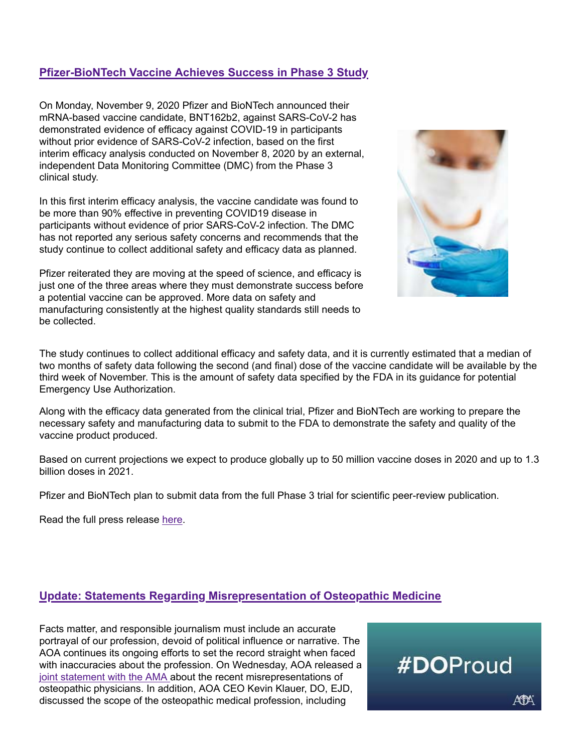# **Pfizer-BioNTech Vaccine Achieves Success in Phase 3 Study**

On Monday, November 9, 2020 Pfizer and BioNTech announced their mRNA-based vaccine candidate, BNT162b2, against SARS-CoV-2 has demonstrated evidence of efficacy against COVID-19 in participants without prior evidence of SARS-CoV-2 infection, based on the first interim efficacy analysis conducted on November 8, 2020 by an external, independent Data Monitoring Committee (DMC) from the Phase 3 clinical study.

In this first interim efficacy analysis, the vaccine candidate was found to be more than 90% effective in preventing COVID19 disease in participants without evidence of prior SARS-CoV-2 infection. The DMC has not reported any serious safety concerns and recommends that the study continue to collect additional safety and efficacy data as planned.

Pfizer reiterated they are moving at the speed of science, and efficacy is just one of the three areas where they must demonstrate success before a potential vaccine can be approved. More data on safety and manufacturing consistently at the highest quality standards still needs to be collected.



The study continues to collect additional efficacy and safety data, and it is currently estimated that a median of two months of safety data following the second (and final) dose of the vaccine candidate will be available by the third week of November. This is the amount of safety data specified by the FDA in its guidance for potential Emergency Use Authorization.

Along with the efficacy data generated from the clinical trial, Pfizer and BioNTech are working to prepare the necessary safety and manufacturing data to submit to the FDA to demonstrate the safety and quality of the vaccine product produced.

Based on current projections we expect to produce globally up to 50 million vaccine doses in 2020 and up to 1.3 billion doses in 2021.

Pfizer and BioNTech plan to submit data from the full Phase 3 trial for scientific peer-review publication.

Read the full press release here.

# **Update: Statements Regarding Misrepresentation of Osteopathic Medicine**

Facts matter, and responsible journalism must include an accurate portrayal of our profession, devoid of political influence or narrative. The AOA continues its ongoing efforts to set the record straight when faced with inaccuracies about the profession. On Wednesday, AOA released a joint statement with the AMA about the recent misrepresentations of osteopathic physicians. In addition, AOA CEO Kevin Klauer, DO, EJD, discussed the scope of the osteopathic medical profession, including



AFA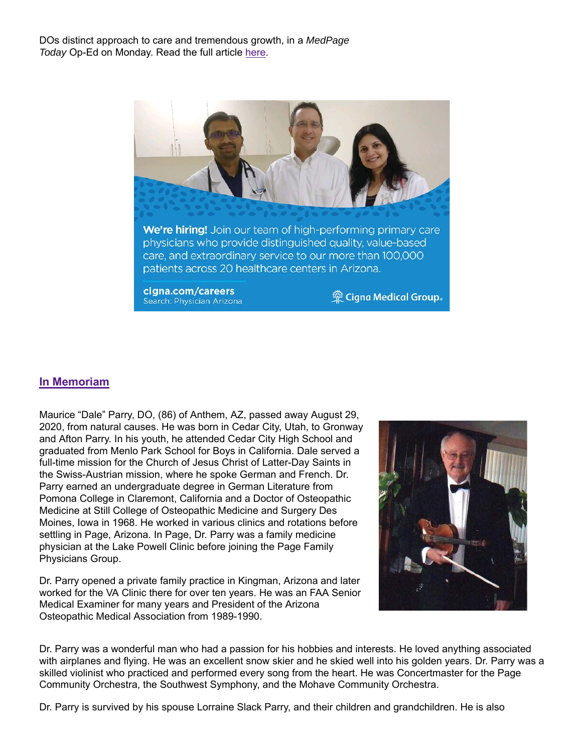DOs distinct approach to care and tremendous growth, in a *MedPage Today* Op-Ed on Monday. Read the full article here.



# **In Memoriam**

Maurice "Dale" Parry, DO, (86) of Anthem, AZ, passed away August 29, 2020, from natural causes. He was born in Cedar City, Utah, to Gronway and Afton Parry. In his youth, he attended Cedar City High School and graduated from Menlo Park School for Boys in California. Dale served a full-time mission for the Church of Jesus Christ of Latter-Day Saints in the Swiss-Austrian mission, where he spoke German and French. Dr. Parry earned an undergraduate degree in German Literature from Pomona College in Claremont, California and a Doctor of Osteopathic Medicine at Still College of Osteopathic Medicine and Surgery Des Moines, Iowa in 1968. He worked in various clinics and rotations before settling in Page, Arizona. In Page, Dr. Parry was a family medicine physician at the Lake Powell Clinic before joining the Page Family Physicians Group.

Dr. Parry opened a private family practice in Kingman, Arizona and later worked for the VA Clinic there for over ten years. He was an FAA Senior Medical Examiner for many years and President of the Arizona Osteopathic Medical Association from 1989-1990.



Dr. Parry was a wonderful man who had a passion for his hobbies and interests. He loved anything associated with airplanes and flying. He was an excellent snow skier and he skied well into his golden years. Dr. Parry was a skilled violinist who practiced and performed every song from the heart. He was Concertmaster for the Page Community Orchestra, the Southwest Symphony, and the Mohave Community Orchestra.

Dr. Parry is survived by his spouse Lorraine Slack Parry, and their children and grandchildren. He is also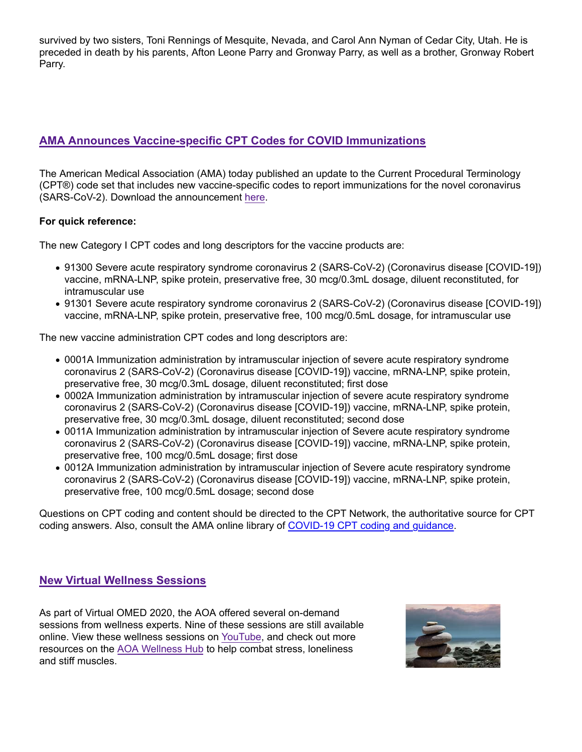survived by two sisters, Toni Rennings of Mesquite, Nevada, and Carol Ann Nyman of Cedar City, Utah. He is preceded in death by his parents, Afton Leone Parry and Gronway Parry, as well as a brother, Gronway Robert Parry.

# **AMA Announces Vaccine-specific CPT Codes for COVID Immunizations**

The American Medical Association (AMA) today published an update to the Current Procedural Terminology (CPT®) code set that includes new vaccine-specific codes to report immunizations for the novel coronavirus (SARS-CoV-2). Download the announcement here.

### **For quick reference:**

The new Category I CPT codes and long descriptors for the vaccine products are:

- 91300 Severe acute respiratory syndrome coronavirus 2 (SARS-CoV-2) (Coronavirus disease [COVID-19]) vaccine, mRNA-LNP, spike protein, preservative free, 30 mcg/0.3mL dosage, diluent reconstituted, for intramuscular use
- 91301 Severe acute respiratory syndrome coronavirus 2 (SARS-CoV-2) (Coronavirus disease [COVID-19]) vaccine, mRNA-LNP, spike protein, preservative free, 100 mcg/0.5mL dosage, for intramuscular use

The new vaccine administration CPT codes and long descriptors are:

- 0001A Immunization administration by intramuscular injection of severe acute respiratory syndrome coronavirus 2 (SARS-CoV-2) (Coronavirus disease [COVID-19]) vaccine, mRNA-LNP, spike protein, preservative free, 30 mcg/0.3mL dosage, diluent reconstituted; first dose
- 0002A Immunization administration by intramuscular injection of severe acute respiratory syndrome coronavirus 2 (SARS-CoV-2) (Coronavirus disease [COVID-19]) vaccine, mRNA-LNP, spike protein, preservative free, 30 mcg/0.3mL dosage, diluent reconstituted; second dose
- 0011A Immunization administration by intramuscular injection of Severe acute respiratory syndrome coronavirus 2 (SARS-CoV-2) (Coronavirus disease [COVID-19]) vaccine, mRNA-LNP, spike protein, preservative free, 100 mcg/0.5mL dosage; first dose
- 0012A Immunization administration by intramuscular injection of Severe acute respiratory syndrome coronavirus 2 (SARS-CoV-2) (Coronavirus disease [COVID-19]) vaccine, mRNA-LNP, spike protein, preservative free, 100 mcg/0.5mL dosage; second dose

Questions on CPT coding and content should be directed to the CPT Network, the authoritative source for CPT coding answers. Also, consult the AMA online library of COVID-19 CPT coding and guidance.

# **New Virtual Wellness Sessions**

As part of Virtual OMED 2020, the AOA offered several on-demand sessions from wellness experts. Nine of these sessions are still available online. View these wellness sessions on YouTube, and check out more resources on the AOA Wellness Hub to help combat stress, loneliness and stiff muscles.

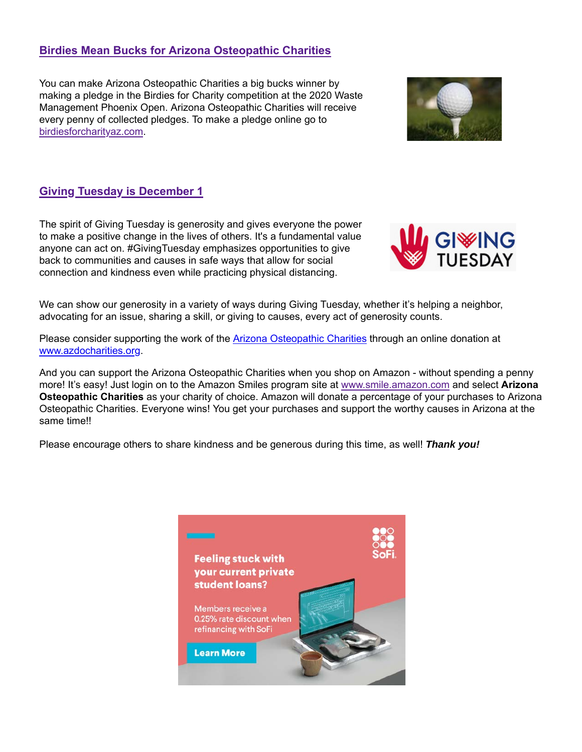# **Birdies Mean Bucks for Arizona Osteopathic Charities**

You can make Arizona Osteopathic Charities a big bucks winner by making a pledge in the Birdies for Charity competition at the 2020 Waste Management Phoenix Open. Arizona Osteopathic Charities will receive every penny of collected pledges. To make a pledge online go to birdiesforcharityaz.com.



# **Giving Tuesday is December 1**

The spirit of Giving Tuesday is generosity and gives everyone the power to make a positive change in the lives of others. It's a fundamental value anyone can act on. #GivingTuesday emphasizes opportunities to give back to communities and causes in safe ways that allow for social connection and kindness even while practicing physical distancing.



We can show our generosity in a variety of ways during Giving Tuesday, whether it's helping a neighbor, advocating for an issue, sharing a skill, or giving to causes, every act of generosity counts.

Please consider supporting the work of the Arizona Osteopathic Charities through an online donation at www.azdocharities.org.

And you can support the Arizona Osteopathic Charities when you shop on Amazon - without spending a penny more! It's easy! Just login on to the Amazon Smiles program site at www.smile.amazon.com and select **Arizona Osteopathic Charities** as your charity of choice. Amazon will donate a percentage of your purchases to Arizona Osteopathic Charities. Everyone wins! You get your purchases and support the worthy causes in Arizona at the same time!!

Please encourage others to share kindness and be generous during this time, as well! *Thank you!*

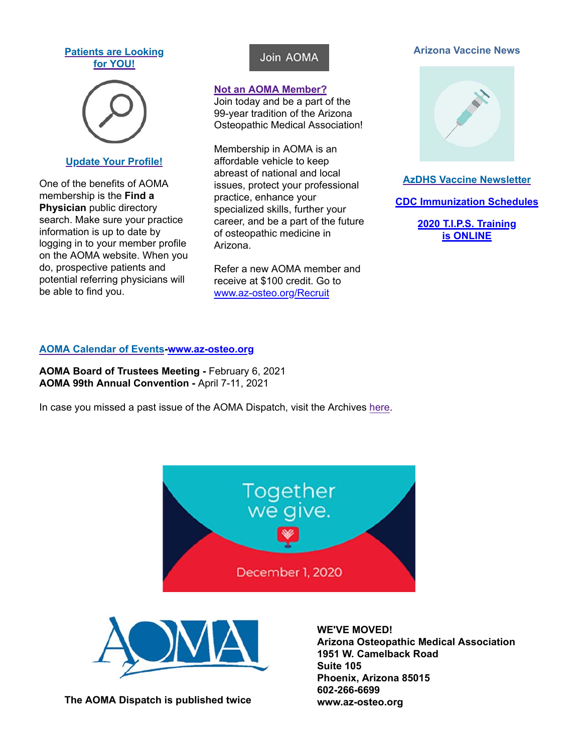#### **Patients are Looking for YOU!**



### **Update Your Profile!**

One of the benefits of AOMA membership is the **Find a Physician** public directory search. Make sure your practice information is up to date by logging in to your member profile on the AOMA website. When you do, prospective patients and potential referring physicians will be able to find you.

# Join AOMA

### **Not an AOMA Member?**

Join today and be a part of the 99-year tradition of the Arizona Osteopathic Medical Association!

Membership in AOMA is an affordable vehicle to keep abreast of national and local issues, protect your professional practice, enhance your specialized skills, further your career, and be a part of the future of osteopathic medicine in Arizona.

Refer a new AOMA member and receive at \$100 credit. Go to www.az-osteo.org/Recruit

#### **Arizona Vaccine News**



### **AzDHS Vaccine Newsletter**

**CDC Immunization Schedules**

**2020 T.I.P.S. Training is ONLINE**

### **AOMA Calendar of Events-www.az-osteo.org**

**AOMA Board of Trustees Meeting -** February 6, 2021 **AOMA 99th Annual Convention -** April 7-11, 2021

In case you missed a past issue of the AOMA Dispatch, visit the Archives here.





**The AOMA Dispatch is published twice**

# **WE'VE MOVED!**

**Arizona Osteopathic Medical Association 1951 W. Camelback Road Suite 105 Phoenix, Arizona 85015 602-266-6699 www.az-osteo.org**